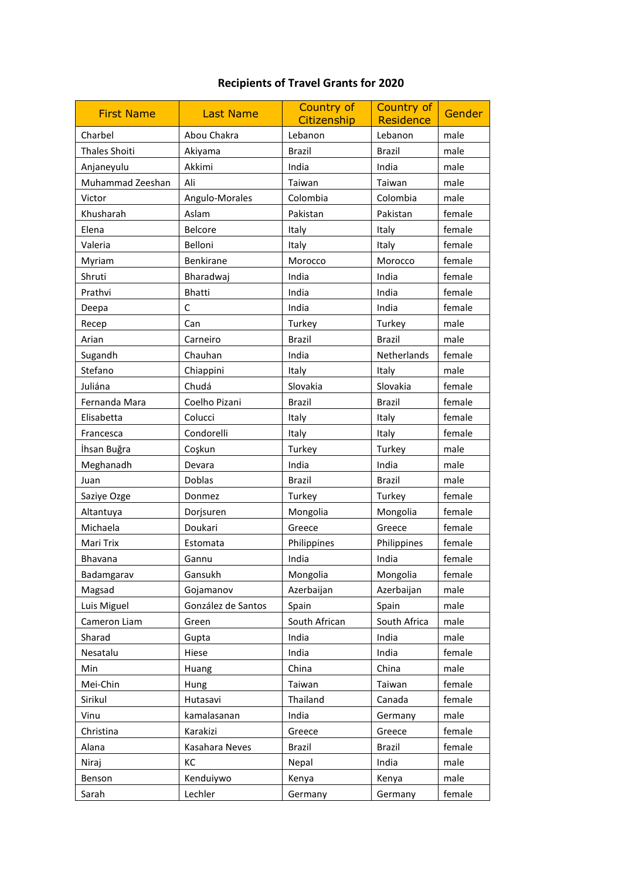## **Recipients of Travel Grants for 2020**

| <b>First Name</b>    | <b>Last Name</b>   | Country of<br>Citizenship | <b>Country of</b><br>Residence | Gender |
|----------------------|--------------------|---------------------------|--------------------------------|--------|
| Charbel              | Abou Chakra        | Lebanon                   | Lebanon                        | male   |
| <b>Thales Shoiti</b> | Akiyama            | <b>Brazil</b>             | <b>Brazil</b>                  | male   |
| Anjaneyulu           | Akkimi             | India                     | India                          | male   |
| Muhammad Zeeshan     | Ali                | Taiwan                    | Taiwan                         | male   |
| Victor               | Angulo-Morales     | Colombia                  | Colombia                       | male   |
| Khusharah            | Aslam              | Pakistan                  | Pakistan                       | female |
| Elena                | Belcore            | Italy                     | Italy                          | female |
| Valeria              | Belloni            | Italy                     | Italy                          | female |
| Myriam               | Benkirane          | Morocco                   | Morocco                        | female |
| Shruti               | Bharadwaj          | India                     | India                          | female |
| Prathvi              | Bhatti             | India                     | India                          | female |
| Deepa                | С                  | India                     | India                          | female |
| Recep                | Can                | Turkey                    | Turkey                         | male   |
| Arian                | Carneiro           | <b>Brazil</b>             | <b>Brazil</b>                  | male   |
| Sugandh              | Chauhan            | India                     | Netherlands                    | female |
| Stefano              | Chiappini          | Italy                     | Italy                          | male   |
| Juliána              | Chudá              | Slovakia                  | Slovakia                       | female |
| Fernanda Mara        | Coelho Pizani      | <b>Brazil</b>             | <b>Brazil</b>                  | female |
| Elisabetta           | Colucci            | Italy                     | Italy                          | female |
| Francesca            | Condorelli         | Italy                     | Italy                          | female |
| İhsan Buğra          | Coşkun             | Turkey                    | Turkey                         | male   |
| Meghanadh            | Devara             | India                     | India                          | male   |
| Juan                 | Doblas             | <b>Brazil</b>             | <b>Brazil</b>                  | male   |
| Saziye Ozge          | Donmez             | Turkey                    | Turkey                         | female |
| Altantuya            | Dorjsuren          | Mongolia                  | Mongolia                       | female |
| Michaela             | Doukari            | Greece                    | Greece                         | female |
| Mari Trix            | Estomata           | Philippines               | Philippines                    | female |
| Bhavana              | Gannu              | India                     | India                          | female |
| Badamgarav           | Gansukh            | Mongolia                  | Mongolia                       | female |
| Magsad               | Gojamanov          | Azerbaijan                | Azerbaijan                     | male   |
| Luis Miguel          | González de Santos | Spain                     | Spain                          | male   |
| Cameron Liam         | Green              | South African             | South Africa                   | male   |
| Sharad               | Gupta              | India                     | India                          | male   |
| Nesatalu             | Hiese              | India                     | India                          | female |
| Min                  | Huang              | China                     | China                          | male   |
| Mei-Chin             | Hung               | Taiwan                    | Taiwan                         | female |
| Sirikul              | Hutasavi           | Thailand                  | Canada                         | female |
| Vinu                 | kamalasanan        | India                     | Germany                        | male   |
| Christina            | Karakizi           | Greece                    | Greece                         | female |
| Alana                | Kasahara Neves     | <b>Brazil</b>             | <b>Brazil</b>                  | female |
| Niraj                | КC                 | Nepal                     | India                          | male   |
| Benson               | Kenduiywo          | Kenya                     | Kenya                          | male   |
| Sarah                | Lechler            | Germany                   | Germany                        | female |